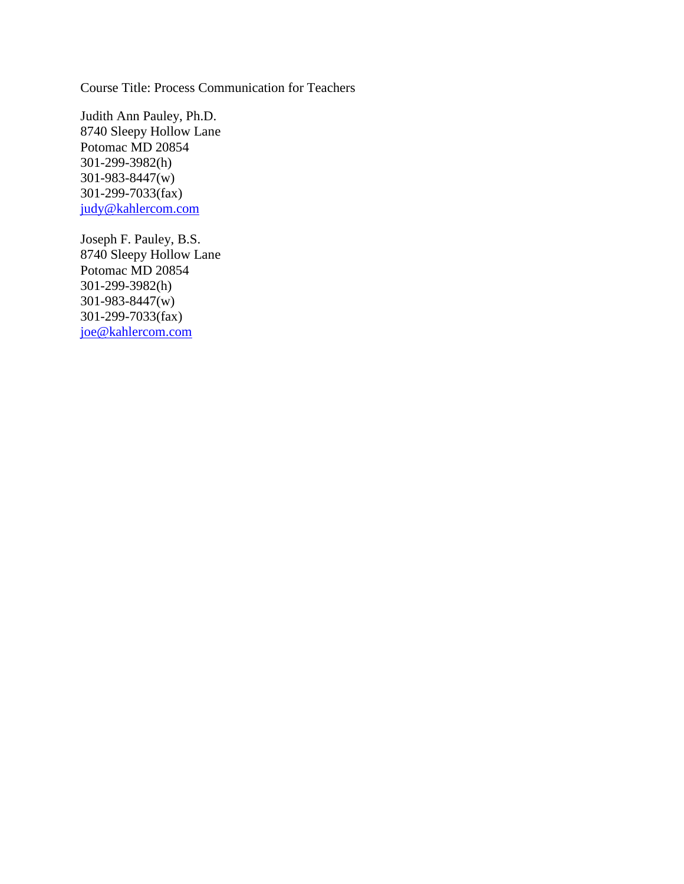Course Title: Process Communication for Teachers

Judith Ann Pauley, Ph.D. 8740 Sleepy Hollow Lane Potomac MD 20854 301-299-3982(h) 301-983-8447(w) 301-299-7033(fax) [judy@kahlercom.com](mailto:judy@kahlercom.com)

Joseph F. Pauley, B.S. 8740 Sleepy Hollow Lane Potomac MD 20854 301-299-3982(h) 301-983-8447(w) 301-299-7033(fax) [joe@kahlercom.com](mailto:joe@kahlercom.com)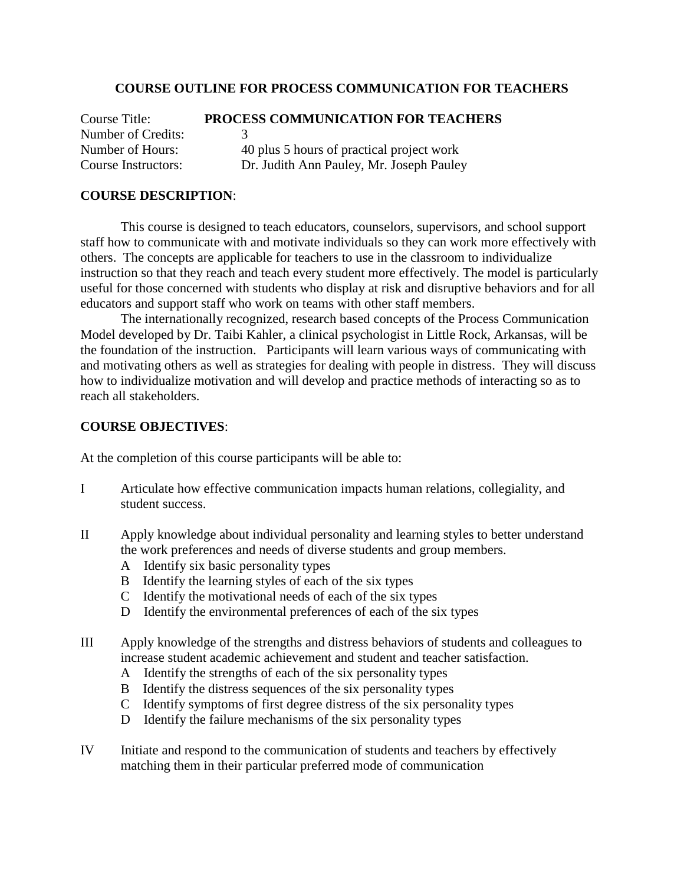#### **COURSE OUTLINE FOR PROCESS COMMUNICATION FOR TEACHERS**

Course Title: **PROCESS COMMUNICATION FOR TEACHERS** Number of Credits: 3 Number of Hours: 40 plus 5 hours of practical project work Course Instructors: Dr. Judith Ann Pauley, Mr. Joseph Pauley

#### **COURSE DESCRIPTION**:

This course is designed to teach educators, counselors, supervisors, and school support staff how to communicate with and motivate individuals so they can work more effectively with others. The concepts are applicable for teachers to use in the classroom to individualize instruction so that they reach and teach every student more effectively. The model is particularly useful for those concerned with students who display at risk and disruptive behaviors and for all educators and support staff who work on teams with other staff members.

The internationally recognized, research based concepts of the Process Communication Model developed by Dr. Taibi Kahler, a clinical psychologist in Little Rock, Arkansas, will be the foundation of the instruction. Participants will learn various ways of communicating with and motivating others as well as strategies for dealing with people in distress. They will discuss how to individualize motivation and will develop and practice methods of interacting so as to reach all stakeholders.

#### **COURSE OBJECTIVES**:

At the completion of this course participants will be able to:

- I Articulate how effective communication impacts human relations, collegiality, and student success.
- II Apply knowledge about individual personality and learning styles to better understand the work preferences and needs of diverse students and group members.
	- A Identify six basic personality types
	- B Identify the learning styles of each of the six types
	- C Identify the motivational needs of each of the six types
	- D Identify the environmental preferences of each of the six types
- III Apply knowledge of the strengths and distress behaviors of students and colleagues to increase student academic achievement and student and teacher satisfaction.
	- A Identify the strengths of each of the six personality types
	- B Identify the distress sequences of the six personality types
	- C Identify symptoms of first degree distress of the six personality types
	- D Identify the failure mechanisms of the six personality types
- IV Initiate and respond to the communication of students and teachers by effectively matching them in their particular preferred mode of communication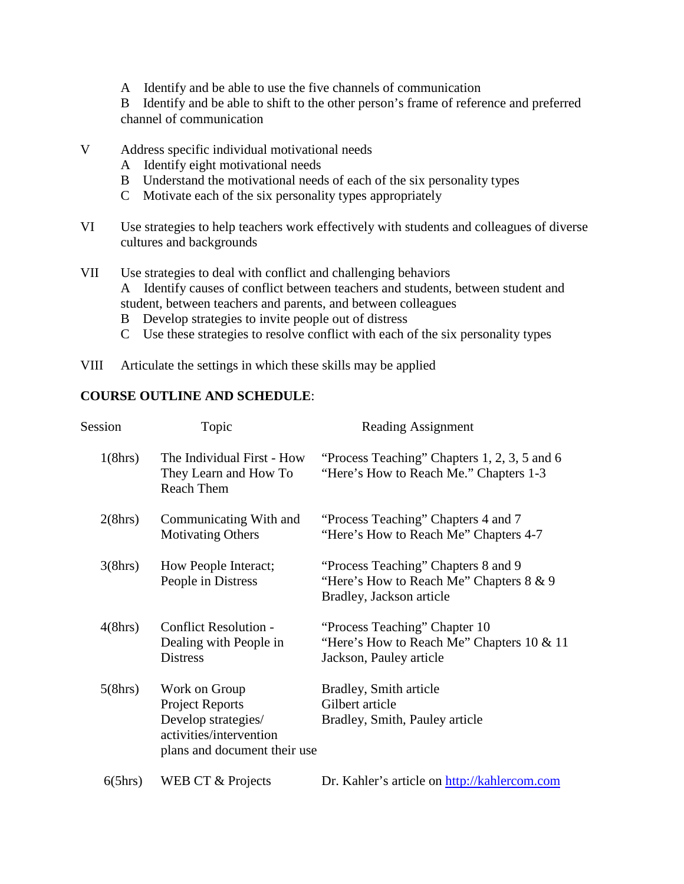A Identify and be able to use the five channels of communication

B Identify and be able to shift to the other person's frame of reference and preferred channel of communication

- V Address specific individual motivational needs
	- A Identify eight motivational needs
	- B Understand the motivational needs of each of the six personality types
	- C Motivate each of the six personality types appropriately
- VI Use strategies to help teachers work effectively with students and colleagues of diverse cultures and backgrounds
- VII Use strategies to deal with conflict and challenging behaviors A Identify causes of conflict between teachers and students, between student and student, between teachers and parents, and between colleagues
	- B Develop strategies to invite people out of distress
	- C Use these strategies to resolve conflict with each of the six personality types
- VIII Articulate the settings in which these skills may be applied

## **COURSE OUTLINE AND SCHEDULE**:

| Session | Topic                                                                                                                     | Reading Assignment                                                                                            |
|---------|---------------------------------------------------------------------------------------------------------------------------|---------------------------------------------------------------------------------------------------------------|
| 1(8hrs) | The Individual First - How<br>They Learn and How To<br>Reach Them                                                         | "Process Teaching" Chapters 1, 2, 3, 5 and 6<br>"Here's How to Reach Me." Chapters 1-3                        |
| 2(8hrs) | Communicating With and<br><b>Motivating Others</b>                                                                        | "Process Teaching" Chapters 4 and 7<br>"Here's How to Reach Me" Chapters 4-7                                  |
| 3(8hrs) | How People Interact;<br>People in Distress                                                                                | "Process Teaching" Chapters 8 and 9<br>"Here's How to Reach Me" Chapters $8 \& 9$<br>Bradley, Jackson article |
| 4(8hrs) | <b>Conflict Resolution -</b><br>Dealing with People in<br><b>Distress</b>                                                 | "Process Teaching" Chapter 10<br>"Here's How to Reach Me" Chapters $10 \& 11$<br>Jackson, Pauley article      |
| 5(8hrs) | Work on Group<br><b>Project Reports</b><br>Develop strategies/<br>activities/intervention<br>plans and document their use | Bradley, Smith article<br>Gilbert article<br>Bradley, Smith, Pauley article                                   |
| 6(5hrs) | WEB CT & Projects                                                                                                         | Dr. Kahler's article on http://kahlercom.com                                                                  |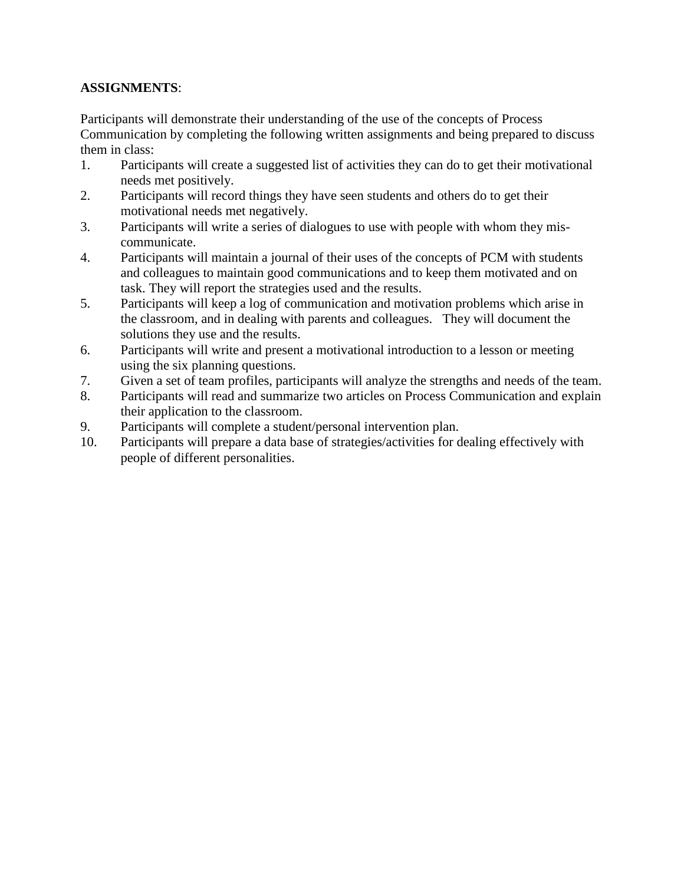## **ASSIGNMENTS**:

Participants will demonstrate their understanding of the use of the concepts of Process Communication by completing the following written assignments and being prepared to discuss them in class:

- 1. Participants will create a suggested list of activities they can do to get their motivational needs met positively.
- 2. Participants will record things they have seen students and others do to get their motivational needs met negatively.
- 3. Participants will write a series of dialogues to use with people with whom they miscommunicate.
- 4. Participants will maintain a journal of their uses of the concepts of PCM with students and colleagues to maintain good communications and to keep them motivated and on task. They will report the strategies used and the results.
- 5. Participants will keep a log of communication and motivation problems which arise in the classroom, and in dealing with parents and colleagues. They will document the solutions they use and the results.
- 6. Participants will write and present a motivational introduction to a lesson or meeting using the six planning questions.
- 7. Given a set of team profiles, participants will analyze the strengths and needs of the team.
- 8. Participants will read and summarize two articles on Process Communication and explain their application to the classroom.
- 9. Participants will complete a student/personal intervention plan.
- 10. Participants will prepare a data base of strategies/activities for dealing effectively with people of different personalities.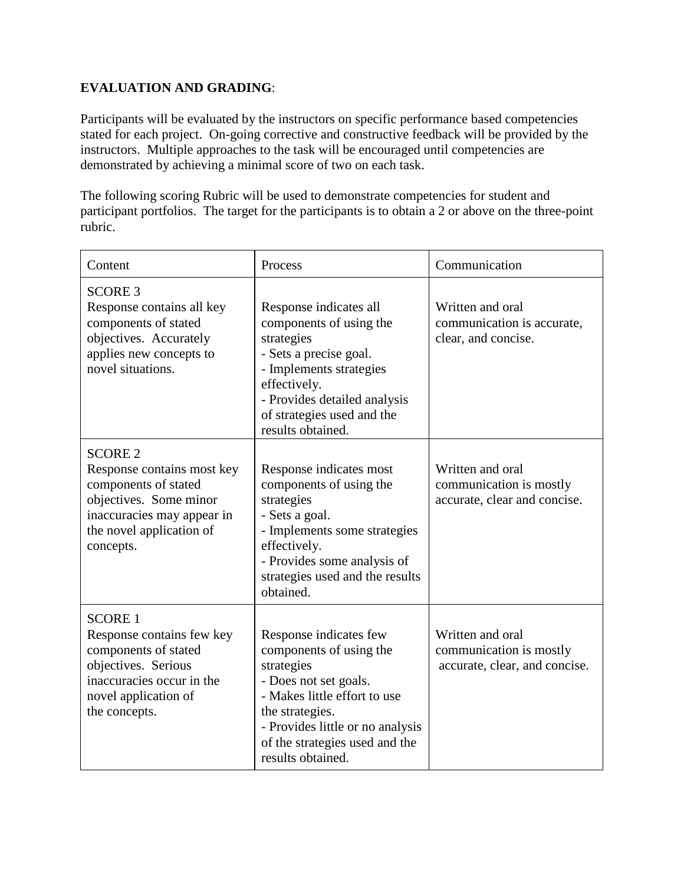## **EVALUATION AND GRADING**:

Participants will be evaluated by the instructors on specific performance based competencies stated for each project. On-going corrective and constructive feedback will be provided by the instructors. Multiple approaches to the task will be encouraged until competencies are demonstrated by achieving a minimal score of two on each task.

The following scoring Rubric will be used to demonstrate competencies for student and participant portfolios. The target for the participants is to obtain a 2 or above on the three-point rubric.

| Content                                                                                                                                                               | Process                                                                                                                                                                                                                                | Communication                                                                |
|-----------------------------------------------------------------------------------------------------------------------------------------------------------------------|----------------------------------------------------------------------------------------------------------------------------------------------------------------------------------------------------------------------------------------|------------------------------------------------------------------------------|
| <b>SCORE 3</b><br>Response contains all key<br>components of stated<br>objectives. Accurately<br>applies new concepts to<br>novel situations.                         | Response indicates all<br>components of using the<br>strategies<br>- Sets a precise goal.<br>- Implements strategies<br>effectively.<br>- Provides detailed analysis<br>of strategies used and the<br>results obtained.                | Written and oral<br>communication is accurate,<br>clear, and concise.        |
| <b>SCORE 2</b><br>Response contains most key<br>components of stated<br>objectives. Some minor<br>inaccuracies may appear in<br>the novel application of<br>concepts. | Response indicates most<br>components of using the<br>strategies<br>- Sets a goal.<br>- Implements some strategies<br>effectively.<br>- Provides some analysis of<br>strategies used and the results<br>obtained.                      | Written and oral<br>communication is mostly<br>accurate, clear and concise.  |
| <b>SCORE 1</b><br>Response contains few key<br>components of stated<br>objectives. Serious<br>inaccuracies occur in the<br>novel application of<br>the concepts.      | Response indicates few<br>components of using the<br>strategies<br>- Does not set goals.<br>- Makes little effort to use<br>the strategies.<br>- Provides little or no analysis<br>of the strategies used and the<br>results obtained. | Written and oral<br>communication is mostly<br>accurate, clear, and concise. |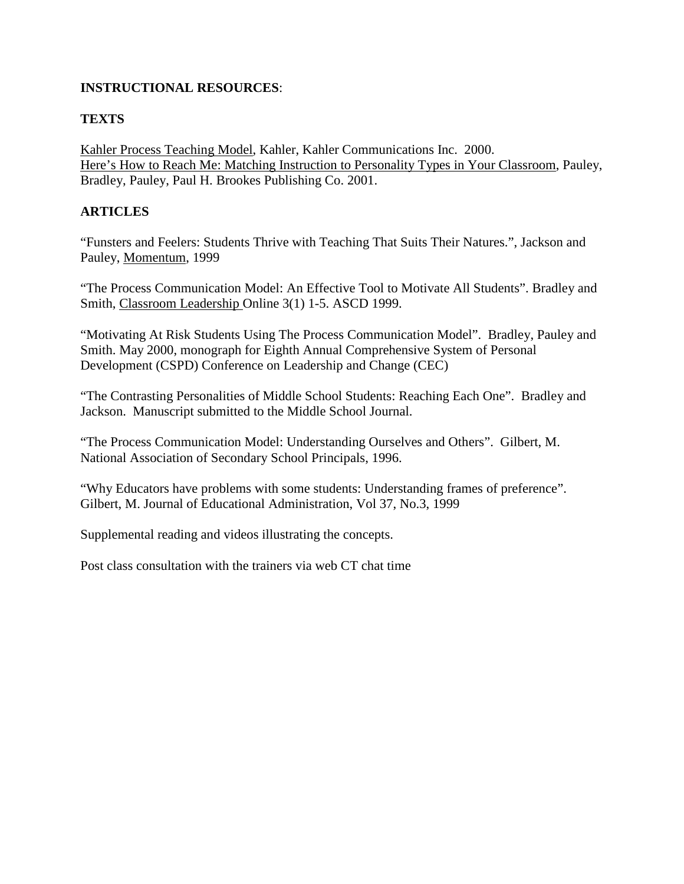## **INSTRUCTIONAL RESOURCES**:

# **TEXTS**

Kahler Process Teaching Model, Kahler, Kahler Communications Inc. 2000. Here's How to Reach Me: Matching Instruction to Personality Types in Your Classroom, Pauley, Bradley, Pauley, Paul H. Brookes Publishing Co. 2001.

# **ARTICLES**

"Funsters and Feelers: Students Thrive with Teaching That Suits Their Natures.", Jackson and Pauley, Momentum, 1999

"The Process Communication Model: An Effective Tool to Motivate All Students". Bradley and Smith, Classroom Leadership Online 3(1) 1-5. ASCD 1999.

"Motivating At Risk Students Using The Process Communication Model". Bradley, Pauley and Smith. May 2000, monograph for Eighth Annual Comprehensive System of Personal Development (CSPD) Conference on Leadership and Change (CEC)

"The Contrasting Personalities of Middle School Students: Reaching Each One". Bradley and Jackson. Manuscript submitted to the Middle School Journal.

"The Process Communication Model: Understanding Ourselves and Others". Gilbert, M. National Association of Secondary School Principals, 1996.

"Why Educators have problems with some students: Understanding frames of preference". Gilbert, M. Journal of Educational Administration, Vol 37, No.3, 1999

Supplemental reading and videos illustrating the concepts.

Post class consultation with the trainers via web CT chat time